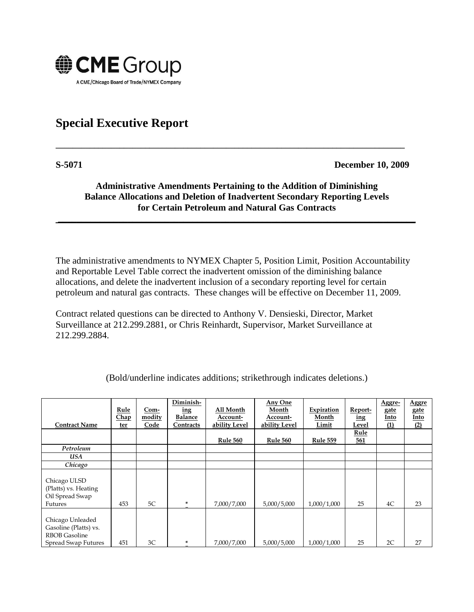

## **Special Executive Report**

**S-5071 December 10, 2009**

## **Administrative Amendments Pertaining to the Addition of Diminishing Balance Allocations and Deletion of Inadvertent Secondary Reporting Levels for Certain Petroleum and Natural Gas Contracts**

**\_\_\_\_\_\_\_\_\_\_\_\_\_\_\_\_\_\_\_\_\_\_\_\_\_\_\_\_\_\_\_\_\_\_\_\_\_\_\_\_\_\_\_\_\_\_\_\_\_\_\_\_\_\_\_\_\_\_\_\_\_\_\_\_\_\_\_\_\_\_\_\_\_\_\_\_\_**

**\_\_\_\_\_\_\_\_\_\_\_\_\_\_\_\_\_\_\_\_\_\_\_\_\_\_\_\_\_\_\_\_\_\_\_\_\_\_\_\_\_\_\_\_\_\_\_\_\_\_\_\_\_\_\_\_\_\_\_\_\_\_\_\_\_\_\_\_\_\_\_\_\_\_\_\_\_\_\_\_\_\_**

The administrative amendments to NYMEX Chapter 5, Position Limit, Position Accountability and Reportable Level Table correct the inadvertent omission of the diminishing balance allocations, and delete the inadvertent inclusion of a secondary reporting level for certain petroleum and natural gas contracts. These changes will be effective on December 11, 2009.

Contract related questions can be directed to Anthony V. Densieski, Director, Market Surveillance at 212.299.2881, or Chris Reinhardt, Supervisor, Market Surveillance at 212.299.2884.

| <b>Contract Name</b>                                                                     | Rule<br>Chap<br>ter | Com-<br>modity<br>Code | Diminish-<br>ing<br>Balance<br>Contracts | All Month<br>Account-<br>ability Level | Any One<br>Month<br>Account-<br>ability Level | Expiration<br>Month<br>Limit | Report-<br>ing<br>Level | Aggre-<br>gate<br>Into<br>$\Omega$ | <b>Aggre</b><br>gate<br>Into<br>(2) |
|------------------------------------------------------------------------------------------|---------------------|------------------------|------------------------------------------|----------------------------------------|-----------------------------------------------|------------------------------|-------------------------|------------------------------------|-------------------------------------|
|                                                                                          |                     |                        |                                          |                                        |                                               |                              | Rule                    |                                    |                                     |
|                                                                                          |                     |                        |                                          | <b>Rule 560</b>                        | Rule 560                                      | <b>Rule 559</b>              | 561                     |                                    |                                     |
| Petroleum                                                                                |                     |                        |                                          |                                        |                                               |                              |                         |                                    |                                     |
| USA                                                                                      |                     |                        |                                          |                                        |                                               |                              |                         |                                    |                                     |
| Chicago                                                                                  |                     |                        |                                          |                                        |                                               |                              |                         |                                    |                                     |
| Chicago ULSD<br>(Platts) vs. Heating<br>Oil Spread Swap<br>Futures                       | 453                 | 5C                     | ×.                                       | 7,000/7,000                            | 5,000/5,000                                   | 1,000/1,000                  | 25                      | 4C                                 | 23                                  |
| Chicago Unleaded<br>Gasoline (Platts) vs.<br><b>RBOB</b> Gasoline<br>Spread Swap Futures | 451                 | 3C                     | ×                                        | 7,000/7,000                            | 5,000/5,000                                   | 1,000/1,000                  | 25                      | 2C                                 | 27                                  |

(Bold/underline indicates additions; strikethrough indicates deletions.)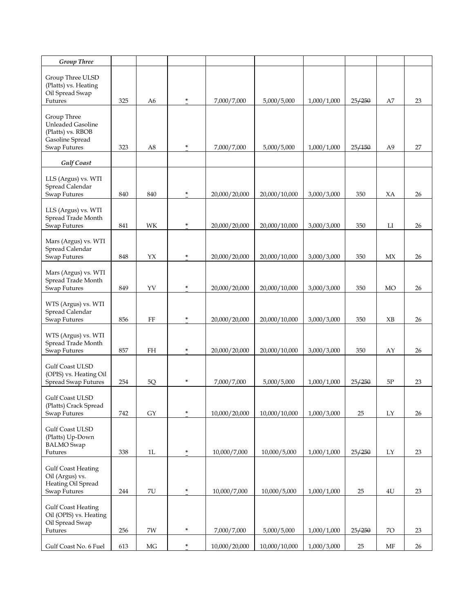| <b>Group Three</b>                                                     |     |               |        |               |               |             |        |               |    |
|------------------------------------------------------------------------|-----|---------------|--------|---------------|---------------|-------------|--------|---------------|----|
| Group Three ULSD<br>(Platts) vs. Heating<br>Oil Spread Swap<br>Futures | 325 | A6            | $\ast$ | 7,000/7,000   | 5,000/5,000   | 1,000/1,000 | 25/250 | A7            | 23 |
|                                                                        |     |               |        |               |               |             |        |               |    |
| Group Three<br><b>Unleaded Gasoline</b>                                |     |               |        |               |               |             |        |               |    |
| (Platts) vs. RBOB                                                      |     |               |        |               |               |             |        |               |    |
| Gasoline Spread<br><b>Swap Futures</b>                                 | 323 | A8            | ×.     | 7,000/7,000   | 5,000/5,000   | 1,000/1,000 | 25/150 | A9            | 27 |
| <b>Gulf Coast</b>                                                      |     |               |        |               |               |             |        |               |    |
|                                                                        |     |               |        |               |               |             |        |               |    |
| LLS (Argus) vs. WTI<br>Spread Calendar                                 |     |               |        |               |               |             |        |               |    |
| Swap Futures                                                           | 840 | 840           | ×.     | 20,000/20,000 | 20,000/10,000 | 3,000/3,000 | 350    | XA            | 26 |
| LLS (Argus) vs. WTI                                                    |     |               |        |               |               |             |        |               |    |
| Spread Trade Month                                                     |     |               |        |               |               |             |        |               |    |
| Swap Futures                                                           | 841 | WK            | ×      | 20,000/20,000 | 20,000/10,000 | 3,000/3,000 | 350    | LI            | 26 |
| Mars (Argus) vs. WTI<br>Spread Calendar                                |     |               |        |               |               |             |        |               |    |
| <b>Swap Futures</b>                                                    | 848 | YX            | ×      | 20,000/20,000 | 20,000/10,000 | 3,000/3,000 | 350    | MX            | 26 |
| Mars (Argus) vs. WTI                                                   |     |               |        |               |               |             |        |               |    |
| Spread Trade Month                                                     |     |               |        |               |               |             |        |               |    |
| Swap Futures                                                           | 849 | YV            | ÷      | 20,000/20,000 | 20,000/10,000 | 3,000/3,000 | 350    | MO            | 26 |
| WTS (Argus) vs. WTI                                                    |     |               |        |               |               |             |        |               |    |
| Spread Calendar<br>Swap Futures                                        | 856 | FF            | ÷      | 20,000/20,000 | 20,000/10,000 | 3,000/3,000 | 350    | XB            | 26 |
|                                                                        |     |               |        |               |               |             |        |               |    |
| WTS (Argus) vs. WTI<br>Spread Trade Month                              |     |               |        |               |               |             |        |               |    |
| Swap Futures                                                           | 857 | <b>FH</b>     | ×      | 20,000/20,000 | 20,000/10,000 | 3,000/3,000 | 350    | AY            | 26 |
| Gulf Coast ULSD                                                        |     |               |        |               |               |             |        |               |    |
| (OPIS) vs. Heating Oil<br>Spread Swap Futures                          | 254 | 5Q            | ×      | 7,000/7,000   | 5,000/5,000   | 1,000/1,000 | 25/250 | 5P            | 23 |
|                                                                        |     |               |        |               |               |             |        |               |    |
| Gulf Coast ULSD<br>(Platts) Crack Spread                               |     |               |        |               |               |             |        |               |    |
| Swap Futures                                                           | 742 | ${\rm GY}$    | ×      | 10,000/20,000 | 10,000/10,000 | 1,000/3,000 | 25     | LY            | 26 |
| Gulf Coast ULSD                                                        |     |               |        |               |               |             |        |               |    |
| (Platts) Up-Down                                                       |     |               |        |               |               |             |        |               |    |
| <b>BALMO</b> Swap<br>Futures                                           | 338 | 1L            | $\ast$ | 10,000/7,000  | 10,000/5,000  | 1,000/1,000 | 25/250 | LY            | 23 |
|                                                                        |     |               |        |               |               |             |        |               |    |
| <b>Gulf Coast Heating</b><br>Oil (Argus) vs.                           |     |               |        |               |               |             |        |               |    |
| Heating Oil Spread<br>Swap Futures                                     | 244 | $7\mathrm{U}$ | $\ast$ | 10,000/7,000  | 10,000/5,000  | 1,000/1,000 | 25     | $4\mathrm{U}$ | 23 |
|                                                                        |     |               |        |               |               |             |        |               |    |
| <b>Gulf Coast Heating</b><br>Oil (OPIS) vs. Heating                    |     |               |        |               |               |             |        |               |    |
| Oil Spread Swap                                                        |     |               |        |               |               |             |        |               |    |
| Futures                                                                | 256 | 7W            | $\ast$ | 7,000/7,000   | 5,000/5,000   | 1,000/1,000 | 25/250 | 70            | 23 |
| Gulf Coast No. 6 Fuel                                                  | 613 | $\rm MG$      | $\ast$ | 10,000/20,000 | 10,000/10,000 | 1,000/3,000 | 25     | MF            | 26 |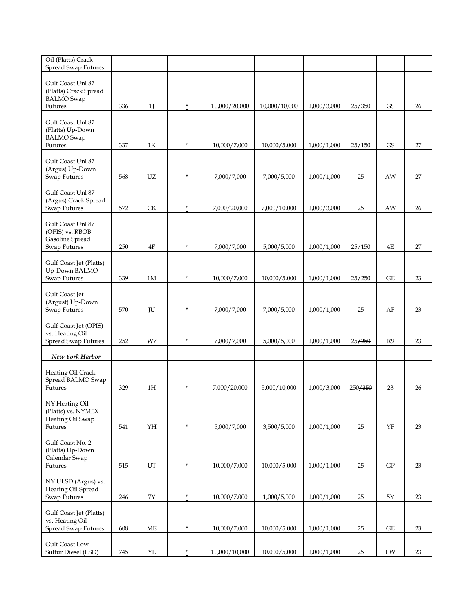| Oil (Platts) Crack<br><b>Spread Swap Futures</b>                           |     |           |        |               |               |             |         |            |    |
|----------------------------------------------------------------------------|-----|-----------|--------|---------------|---------------|-------------|---------|------------|----|
| Gulf Coast Unl 87<br>(Platts) Crack Spread<br><b>BALMO</b> Swap<br>Futures | 336 | 1J        | $\ast$ | 10,000/20,000 | 10,000/10,000 | 1,000/3,000 | 25/350  | <b>GS</b>  | 26 |
|                                                                            |     |           |        |               |               |             |         |            |    |
| Gulf Coast Unl 87<br>(Platts) Up-Down<br><b>BALMO</b> Swap<br>Futures      | 337 | 1Κ        | $\ast$ | 10,000/7,000  | 10,000/5,000  | 1,000/1,000 | 25/150  | <b>GS</b>  | 27 |
|                                                                            |     |           |        |               |               |             |         |            |    |
| Gulf Coast Unl 87<br>(Argus) Up-Down<br><b>Swap Futures</b>                | 568 | <b>UZ</b> | ÷      | 7,000/7,000   | 7,000/5,000   | 1,000/1,000 | 25      | AW         | 27 |
| Gulf Coast Unl 87<br>(Argus) Crack Spread<br>Swap Futures                  | 572 | <b>CK</b> | $\ast$ | 7,000/20,000  | 7,000/10,000  | 1,000/3,000 | 25      | AW         | 26 |
| Gulf Coast Unl 87<br>(OPIS) vs. RBOB<br>Gasoline Spread                    |     |           |        |               |               |             |         |            |    |
| Swap Futures                                                               | 250 | 4F        | $\ast$ | 7,000/7,000   | 5,000/5,000   | 1,000/1,000 | 25/150  | 4E         | 27 |
| Gulf Coast Jet (Platts)<br>Up-Down BALMO                                   | 339 | 1M        | ×.     |               |               |             |         | GE         | 23 |
| Swap Futures                                                               |     |           |        | 10,000/7,000  | 10,000/5,000  | 1,000/1,000 | 25/250  |            |    |
| Gulf Coast Jet<br>(Argust) Up-Down<br>Swap Futures                         | 570 | JU        | $\ast$ | 7,000/7,000   | 7,000/5,000   | 1,000/1,000 | 25      | AF         | 23 |
| Gulf Coast Jet (OPIS)<br>vs. Heating Oil                                   |     |           | $\ast$ |               |               |             |         |            |    |
| Spread Swap Futures                                                        | 252 | W7        |        | 7,000/7,000   | 5,000/5,000   | 1,000/1,000 | 25/250  | R9         | 23 |
| New York Harbor                                                            |     |           |        |               |               |             |         |            |    |
| Heating Oil Crack<br>Spread BALMO Swap<br>Futures                          | 329 | 1H        | ÷      | 7,000/20,000  | 5,000/10,000  | 1,000/3,000 | 250/350 | 23         | 26 |
| NY Heating Oil<br>(Platts) vs. NYMEX<br>Heating Oil Swap                   |     |           |        |               |               |             |         |            |    |
| Futures                                                                    | 541 | YH        | $\ast$ | 5,000/7,000   | 3,500/5,000   | 1,000/1,000 | 25      | YF         | 23 |
| Gulf Coast No. 2<br>(Platts) Up-Down<br>Calendar Swap<br>Futures           | 515 | UT        | $\ast$ | 10,000/7,000  | 10,000/5,000  | 1,000/1,000 | 25      | ${\rm GP}$ | 23 |
| NY ULSD (Argus) vs.<br>Heating Oil Spread                                  |     |           |        |               |               |             |         |            |    |
| Swap Futures                                                               | 246 | 7Y        | $\ast$ | 10,000/7,000  | 1,000/5,000   | 1,000/1,000 | 25      | 5Y         | 23 |
| Gulf Coast Jet (Platts)<br>vs. Heating Oil<br><b>Spread Swap Futures</b>   | 608 | МE        | $\ast$ | 10,000/7,000  | 10,000/5,000  | 1,000/1,000 | 25      | GE         | 23 |
| Gulf Coast Low<br>Sulfur Diesel (LSD)                                      | 745 | YL        | $\ast$ | 10,000/10,000 | 10,000/5,000  | 1,000/1,000 | 25      | LW         | 23 |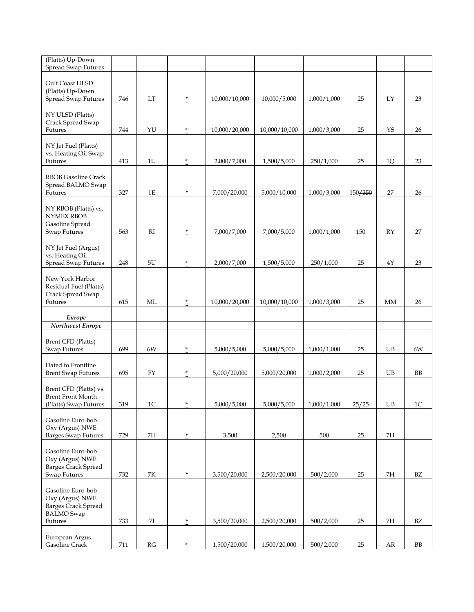| (Platts) Up-Down<br><b>Spread Swap Futures</b>    |     |               |        |               |               |             |         |               |                |
|---------------------------------------------------|-----|---------------|--------|---------------|---------------|-------------|---------|---------------|----------------|
|                                                   |     |               |        |               |               |             |         |               |                |
| Gulf Coast ULSD<br>(Platts) Up-Down               |     |               |        |               |               |             |         |               |                |
| <b>Spread Swap Futures</b>                        | 746 | LT            | $\ast$ | 10,000/10,000 | 10,000/5,000  | 1,000/1,000 | 25      | LY            | 23             |
|                                                   |     |               |        |               |               |             |         |               |                |
| NY ULSD (Platts)<br>Crack Spread Swap             |     |               |        |               |               |             |         |               |                |
| Futures                                           | 744 | YU            | ×.     | 10,000/20,000 | 10,000/10,000 | 1,000/3,000 | 25      | <b>YS</b>     | 26             |
|                                                   |     |               |        |               |               |             |         |               |                |
| NY Jet Fuel (Platts)<br>vs. Heating Oil Swap      |     |               |        |               |               |             |         |               |                |
| Futures                                           | 413 | 1U            | $\ast$ | 2,000/7,000   | 1,500/5,000   | 250/1,000   | 25      | 1Q            | 23             |
|                                                   |     |               |        |               |               |             |         |               |                |
| RBOB Gasoline Crack<br>Spread BALMO Swap          |     |               |        |               |               |             |         |               |                |
| Futures                                           | 327 | $1\mathrm{E}$ | $\ast$ | 7,000/20,000  | 5,000/10,000  | 1,000/3,000 | 150/350 | 27            | 26             |
|                                                   |     |               |        |               |               |             |         |               |                |
| NY RBOB (Platts) vs.<br><b>NYMEX RBOB</b>         |     |               |        |               |               |             |         |               |                |
| Gasoline Spread                                   |     |               |        |               |               |             |         |               |                |
| Swap Futures                                      | 563 | RI            | $\ast$ | 7,000/7,000   | 7,000/5,000   | 1,000/1,000 | 150     | RY            | 27             |
| NY Jet Fuel (Argus)                               |     |               |        |               |               |             |         |               |                |
| vs. Heating Oil                                   |     |               |        |               |               |             |         |               |                |
| <b>Spread Swap Futures</b>                        | 248 | 5U            | $\ast$ | 2,000/7,000   | 1,500/5,000   | 250/1,000   | 25      | $4\mathrm{Y}$ | 23             |
| New York Harbor                                   |     |               |        |               |               |             |         |               |                |
| Residual Fuel (Platts)                            |     |               |        |               |               |             |         |               |                |
| Crack Spread Swap                                 |     |               |        |               |               |             |         |               |                |
| Futures                                           | 615 | ML            | $\ast$ | 10,000/20,000 | 10,000/10,000 | 1,000/3,000 | 25      | МM            | 26             |
| Europe                                            |     |               |        |               |               |             |         |               |                |
| Northwest Europe                                  |     |               |        |               |               |             |         |               |                |
| Brent CFD (Platts)                                |     |               |        |               |               |             |         |               |                |
| Swap Futures                                      | 699 | 6W            | $\ast$ | 5,000/5,000   | 5,000/5,000   | 1,000/1,000 | 25      | UB            | 6W             |
|                                                   |     |               |        |               |               |             |         |               |                |
| Dated to Frontline<br><b>Brent Swap Futures</b>   | 695 | <b>FY</b>     | $\ast$ | 5,000/20,000  | 5,000/20,000  | 1,000/2,000 | 25      | UB            | BB             |
|                                                   |     |               |        |               |               |             |         |               |                |
| Brent CFD (Platts) vs.                            |     |               |        |               |               |             |         |               |                |
| <b>Brent Front Month</b><br>(Platts) Swap Futures | 319 | $1\mathrm{C}$ | $\ast$ | 5,000/5,000   | 5,000/5,000   | 1,000/1,000 | 25/25   | UB            | 1 <sup>C</sup> |
|                                                   |     |               |        |               |               |             |         |               |                |
| Gasoline Euro-bob                                 |     |               |        |               |               |             |         |               |                |
| Oxy (Argus) NWE<br><b>Barges Swap Futures</b>     | 729 | 7H            | $\ast$ | 3,500         | 2,500         | 500         | 25      | 7H            |                |
|                                                   |     |               |        |               |               |             |         |               |                |
| Gasoline Euro-bob                                 |     |               |        |               |               |             |         |               |                |
| Oxy (Argus) NWE<br><b>Barges Crack Spread</b>     |     |               |        |               |               |             |         |               |                |
| Swap Futures                                      | 732 | 7К            | $\ast$ | 3,500/20,000  | 2,500/20,000  | 500/2,000   | $25\,$  | 7H            | BZ             |
|                                                   |     |               |        |               |               |             |         |               |                |
| Gasoline Euro-bob<br>Oxy (Argus) NWE              |     |               |        |               |               |             |         |               |                |
| <b>Barges Crack Spread</b>                        |     |               |        |               |               |             |         |               |                |
| <b>BALMO</b> Swap                                 |     |               |        |               |               |             |         |               |                |
| Futures                                           | 733 | 7I            | $\ast$ | 3,500/20,000  | 2,500/20,000  | 500/2,000   | 25      | 7H            | BZ             |
| European Argus                                    |     |               |        |               |               |             |         |               |                |
| Gasoline Crack                                    | 711 | RG            | $\ast$ | 1,500/20,000  | 1,500/20,000  | 500/2,000   | 25      | AR            | BB             |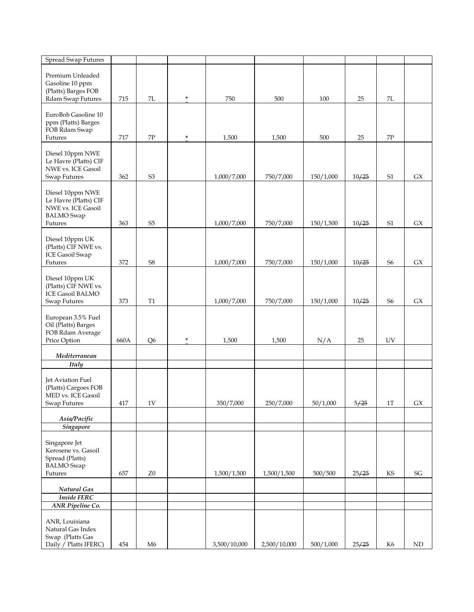| <b>Spread Swap Futures</b>                                                                      |      |                |        |                            |              |                        |                |                |                     |
|-------------------------------------------------------------------------------------------------|------|----------------|--------|----------------------------|--------------|------------------------|----------------|----------------|---------------------|
| Premium Unleaded<br>Gasoline 10 ppm<br>(Platts) Barges FOB<br>Rdam Swap Futures                 | 715  | 7L             | $\ast$ | 750                        | 500          | 100                    | 25             | 7L             |                     |
| EuroBob Gasoline 10<br>ppm (Platts) Barges<br>FOB Rdam Swap<br>Futures                          | 717  | 7P             | ÷      | 1,500                      | 1,500        | 500                    | 25             | $7\mathrm{P}$  |                     |
| Diesel 10ppm NWE<br>Le Havre (Platts) CIF<br>NWE vs. ICE Gasoil<br>Swap Futures                 | 362  | S <sub>3</sub> |        | 1,000/7,000                | 750/7,000    | 150/1,000              | 10/25          | S <sub>1</sub> | GX                  |
| Diesel 10ppm NWE<br>Le Havre (Platts) CIF<br>NWE vs. ICE Gasoil<br><b>BALMO</b> Swap<br>Futures | 363  | S <sub>5</sub> |        |                            | 750/7,000    |                        |                | S1             | ${\sf G} {\sf X}$   |
| Diesel 10ppm UK<br>(Platts) CIF NWE vs.<br><b>ICE Gasoil Swap</b><br>Futures                    | 372  | <b>S8</b>      |        | 1,000/7,000<br>1,000/7,000 | 750/7,000    | 150/1,500<br>150/1,000 | 10/25<br>10/25 | S <sub>6</sub> | ${\sf G} {\sf X}$   |
| Diesel 10ppm UK<br>(Platts) CIF NWE vs.<br><b>ICE Gasoil BALMO</b><br>Swap Futures              | 373  | $\rm T1$       |        | 1,000/7,000                | 750/7,000    | 150/1,000              | 10/25          | S <sub>6</sub> | ${\rm G}X$          |
| European 3.5% Fuel<br>Oil (Platts) Barges<br>FOB Rdam Average<br>Price Option                   | 660A | Q <sub>6</sub> | $\ast$ | 1,500                      | 1,500        | N/A                    | 25             | UV             |                     |
| Mediterranean                                                                                   |      |                |        |                            |              |                        |                |                |                     |
| Italy                                                                                           |      |                |        |                            |              |                        |                |                |                     |
| Jet Aviation Fuel<br>(Platts) Cargoes FOB<br>MED vs. ICE Gasoil<br>Swap Futures                 | 417  | 1 V            |        | 350/7,000                  | 250/7,000    | 50/1,000               | 5/25           | $1$ T          | GХ                  |
| Asia/Pacific                                                                                    |      |                |        |                            |              |                        |                |                |                     |
| <b>Singapore</b>                                                                                |      |                |        |                            |              |                        |                |                |                     |
| Singapore Jet<br>Kerosene vs. Gasoil<br>Spread (Platts)<br><b>BALMO</b> Swap<br>Futures         | 657  | ${\rm Z}0$     |        | 1,500/1,500                | 1,500/1,500  | 500/500                | 25/25          | KS             | $\operatorname{SG}$ |
| Natural Gas                                                                                     |      |                |        |                            |              |                        |                |                |                     |
| <b>Inside FERC</b>                                                                              |      |                |        |                            |              |                        |                |                |                     |
| <b>ANR Pipeline Co.</b>                                                                         |      |                |        |                            |              |                        |                |                |                     |
| ANR, Louisiana<br>Natural Gas Index<br>Swap (Platts Gas<br>Daily / Platts IFERC)                | 454  | M6             |        | 3,500/10,000               | 2,500/10,000 | 500/1,000              | 25/25          | K <sub>6</sub> | $\mbox{ND}$         |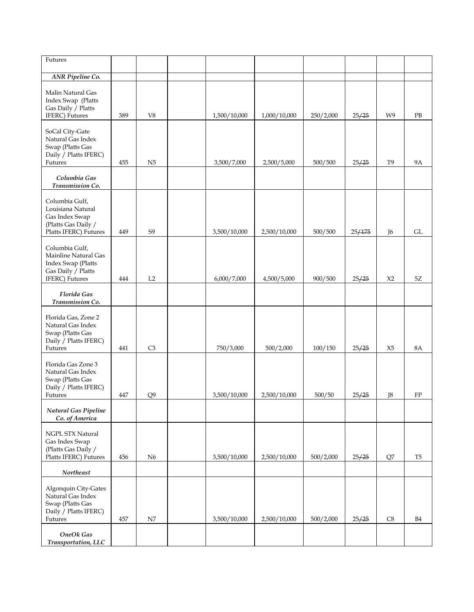| Futures                                                                                               |     |                |              |              |           |        |                |                |
|-------------------------------------------------------------------------------------------------------|-----|----------------|--------------|--------------|-----------|--------|----------------|----------------|
| ANR Pipeline Co.                                                                                      |     |                |              |              |           |        |                |                |
| Malin Natural Gas<br>Index Swap (Platts<br>Gas Daily / Platts<br>IFERC) Futures                       | 389 | V8             | 1,500/10,000 | 1,000/10,000 | 250/2,000 | 25/25  | W9             | PB             |
| SoCal City-Gate<br>Natural Gas Index<br>Swap (Platts Gas<br>Daily / Platts IFERC)<br>Futures          | 455 | N <sub>5</sub> | 3,500/7,000  | 2,500/5,000  | 500/500   | 25/25  | T9             | <b>9A</b>      |
| Columbia Gas<br>Transmission Co.                                                                      |     |                |              |              |           |        |                |                |
| Columbia Gulf,<br>Louisiana Natural<br>Gas Index Swap<br>(Platts Gas Daily /<br>Platts IFERC) Futures | 449 | S9             | 3,500/10,000 | 2,500/10,000 | 500/500   | 25/175 | J6             | GL             |
| Columbia Gulf,<br>Mainline Natural Gas<br>Index Swap (Platts<br>Gas Daily / Platts<br>IFERC) Futures  | 444 | L2             | 6,000/7,000  | 4,500/5,000  | 900/500   | 25/25  | X <sub>2</sub> | 5Z             |
| Florida Gas<br>Transmission Co.                                                                       |     |                |              |              |           |        |                |                |
| Florida Gas, Zone 2<br>Natural Gas Index<br>Swap (Platts Gas<br>Daily / Platts IFERC)<br>Futures      | 441 | C3             | 750/3,000    | 500/2,000    | 100/150   | 25/25  | X <sub>5</sub> | 8A             |
| Florida Gas Zone 3<br>Natural Gas Index<br>Swap (Platts Gas<br>Daily / Platts IFERC)<br>Futures       | 447 | Q <sub>9</sub> | 3,500/10,000 | 2,500/10,000 | 500/50    | 25/25  | J8             | FP             |
| Natural Gas Pipeline<br>Co. of America                                                                |     |                |              |              |           |        |                |                |
| NGPL STX Natural<br>Gas Index Swap<br>(Platts Gas Daily /<br>Platts IFERC) Futures                    | 456 | N <sub>6</sub> | 3,500/10,000 | 2,500/10,000 | 500/2,000 | 25/25  | Q7             | T <sub>5</sub> |
| Northeast                                                                                             |     |                |              |              |           |        |                |                |
| Algonquin City-Gates<br>Natural Gas Index<br>Swap (Platts Gas<br>Daily / Platts IFERC)<br>Futures     | 457 | N7             | 3,500/10,000 | 2,500/10,000 | 500/2,000 | 25/25  | C8             | <b>B4</b>      |
| <b>OneOk</b> Gas<br>Transportation, LLC                                                               |     |                |              |              |           |        |                |                |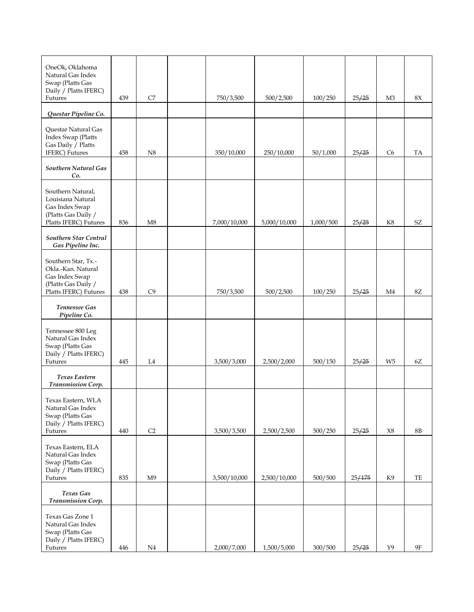| OneOk, Oklahoma<br>Natural Gas Index<br>Swap (Platts Gas<br>Daily / Platts IFERC)<br>Futures                | 439 | C7             | 750/3,500    | 500/2,500    | 100/250   | 25/25  | M3             | $8\mathrm{X}$ |
|-------------------------------------------------------------------------------------------------------------|-----|----------------|--------------|--------------|-----------|--------|----------------|---------------|
| Questar Pipeline Co.                                                                                        |     |                |              |              |           |        |                |               |
| Questar Natural Gas<br>Index Swap (Platts<br>Gas Daily / Platts<br>IFERC) Futures                           | 458 | N8             | 350/10,000   | 250/10,000   | 50/1,000  | 25/25  | C <sub>6</sub> | TA            |
| Southern Natural Gas<br>Co.                                                                                 |     |                |              |              |           |        |                |               |
| Southern Natural,<br>Louisiana Natural<br>Gas Index Swap<br>(Platts Gas Daily /<br>Platts IFERC) Futures    | 836 | M8             | 7,000/10,000 | 5,000/10,000 | 1,000/500 | 25/25  | K8             | SZ            |
| Southern Star Central<br>Gas Pipeline Inc.                                                                  |     |                |              |              |           |        |                |               |
| Southern Star, Tx.-<br>Okla.-Kan. Natural<br>Gas Index Swap<br>(Platts Gas Daily /<br>Platts IFERC) Futures | 438 | C9             | 750/3,500    | 500/2,500    | 100/250   | 25/25  | M4             | $8\mathsf{Z}$ |
| Tennessee Gas<br>Pipeline Co.                                                                               |     |                |              |              |           |        |                |               |
| Tennessee 800 Leg<br>Natural Gas Index<br>Swap (Platts Gas<br>Daily / Platts IFERC)<br>Futures              | 445 | L4             | 3,500/3,000  | 2,500/2,000  | 500/150   | 25/25  | W5             | 6Z            |
| <b>Texas Eastern</b><br><b>Transmission Corp.</b>                                                           |     |                |              |              |           |        |                |               |
| Texas Eastern, WLA<br>Natural Gas Index<br>Swap (Platts Gas<br>Daily / Platts IFERC)<br>Futures             | 440 | C2             | 3,500/3,500  | 2,500/2,500  | 500/250   | 25/25  | X8             | $8\mathrm{B}$ |
| Texas Eastern, ELA<br>Natural Gas Index<br>Swap (Platts Gas<br>Daily / Platts IFERC)<br>Futures             | 835 | M <sub>9</sub> | 3,500/10,000 | 2,500/10,000 | 500/500   | 25/175 | K9             | TE            |
| Texas Gas<br>Transmission Corp.                                                                             |     |                |              |              |           |        |                |               |
| Texas Gas Zone 1<br>Natural Gas Index<br>Swap (Platts Gas<br>Daily / Platts IFERC)<br>Futures               | 446 | N <sub>4</sub> | 2,000/7,000  | 1,500/5,000  | 300/500   | 25/25  | Y9             | <b>9F</b>     |